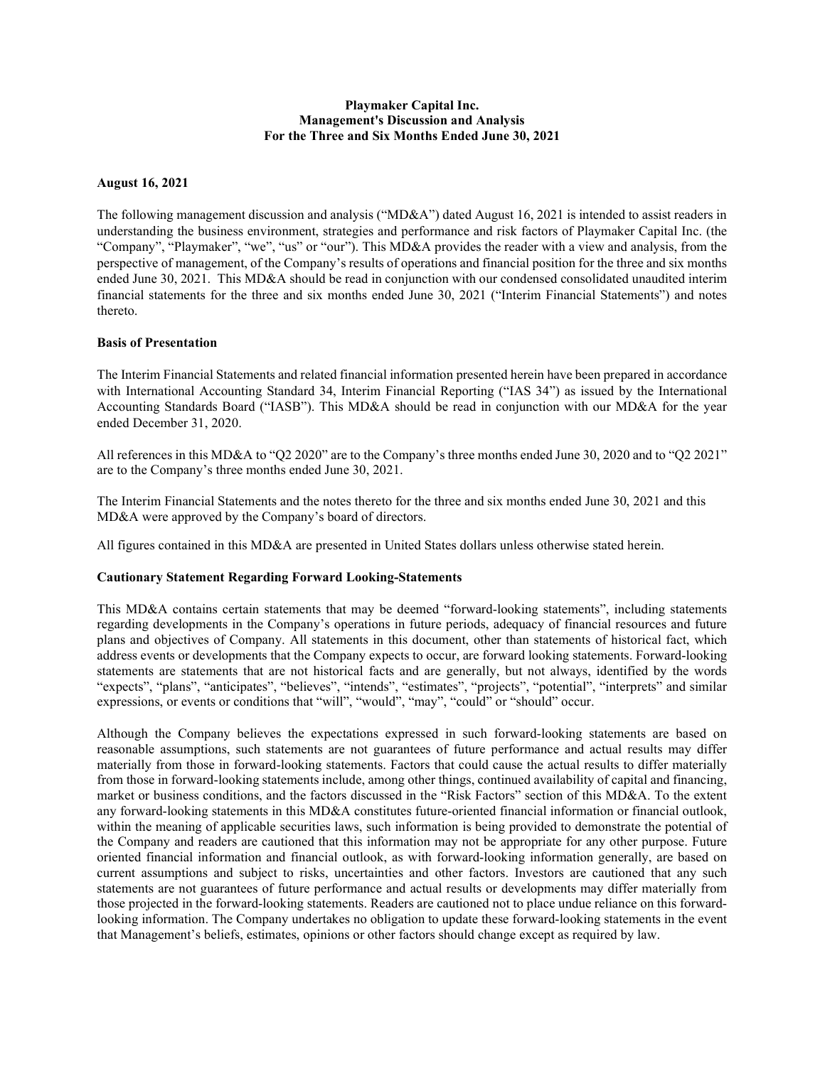## Playmaker Capital Inc. Management's Discussion and Analysis For the Three and Six Months Ended June 30, 2021

### August 16, 2021

The following management discussion and analysis ("MD&A") dated August 16, 2021 is intended to assist readers in understanding the business environment, strategies and performance and risk factors of Playmaker Capital Inc. (the "Company", "Playmaker", "we", "us" or "our"). This MD&A provides the reader with a view and analysis, from the perspective of management, of the Company's results of operations and financial position for the three and six months ended June 30, 2021. This MD&A should be read in conjunction with our condensed consolidated unaudited interim financial statements for the three and six months ended June 30, 2021 ("Interim Financial Statements") and notes thereto.

#### Basis of Presentation

The Interim Financial Statements and related financial information presented herein have been prepared in accordance with International Accounting Standard 34, Interim Financial Reporting ("IAS 34") as issued by the International Accounting Standards Board ("IASB"). This MD&A should be read in conjunction with our MD&A for the year ended December 31, 2020.

All references in this MD&A to "Q2 2020" are to the Company's three months ended June 30, 2020 and to "Q2 2021" are to the Company's three months ended June 30, 2021.

The Interim Financial Statements and the notes thereto for the three and six months ended June 30, 2021 and this MD&A were approved by the Company's board of directors.

All figures contained in this MD&A are presented in United States dollars unless otherwise stated herein.

#### Cautionary Statement Regarding Forward Looking-Statements

This MD&A contains certain statements that may be deemed "forward-looking statements", including statements regarding developments in the Company's operations in future periods, adequacy of financial resources and future plans and objectives of Company. All statements in this document, other than statements of historical fact, which address events or developments that the Company expects to occur, are forward looking statements. Forward-looking statements are statements that are not historical facts and are generally, but not always, identified by the words "expects", "plans", "anticipates", "believes", "intends", "estimates", "projects", "potential", "interprets" and similar expressions, or events or conditions that "will", "would", "may", "could" or "should" occur.

Although the Company believes the expectations expressed in such forward-looking statements are based on reasonable assumptions, such statements are not guarantees of future performance and actual results may differ materially from those in forward-looking statements. Factors that could cause the actual results to differ materially from those in forward-looking statements include, among other things, continued availability of capital and financing, market or business conditions, and the factors discussed in the "Risk Factors" section of this MD&A. To the extent any forward-looking statements in this MD&A constitutes future-oriented financial information or financial outlook, within the meaning of applicable securities laws, such information is being provided to demonstrate the potential of the Company and readers are cautioned that this information may not be appropriate for any other purpose. Future oriented financial information and financial outlook, as with forward-looking information generally, are based on current assumptions and subject to risks, uncertainties and other factors. Investors are cautioned that any such statements are not guarantees of future performance and actual results or developments may differ materially from those projected in the forward-looking statements. Readers are cautioned not to place undue reliance on this forwardlooking information. The Company undertakes no obligation to update these forward-looking statements in the event that Management's beliefs, estimates, opinions or other factors should change except as required by law.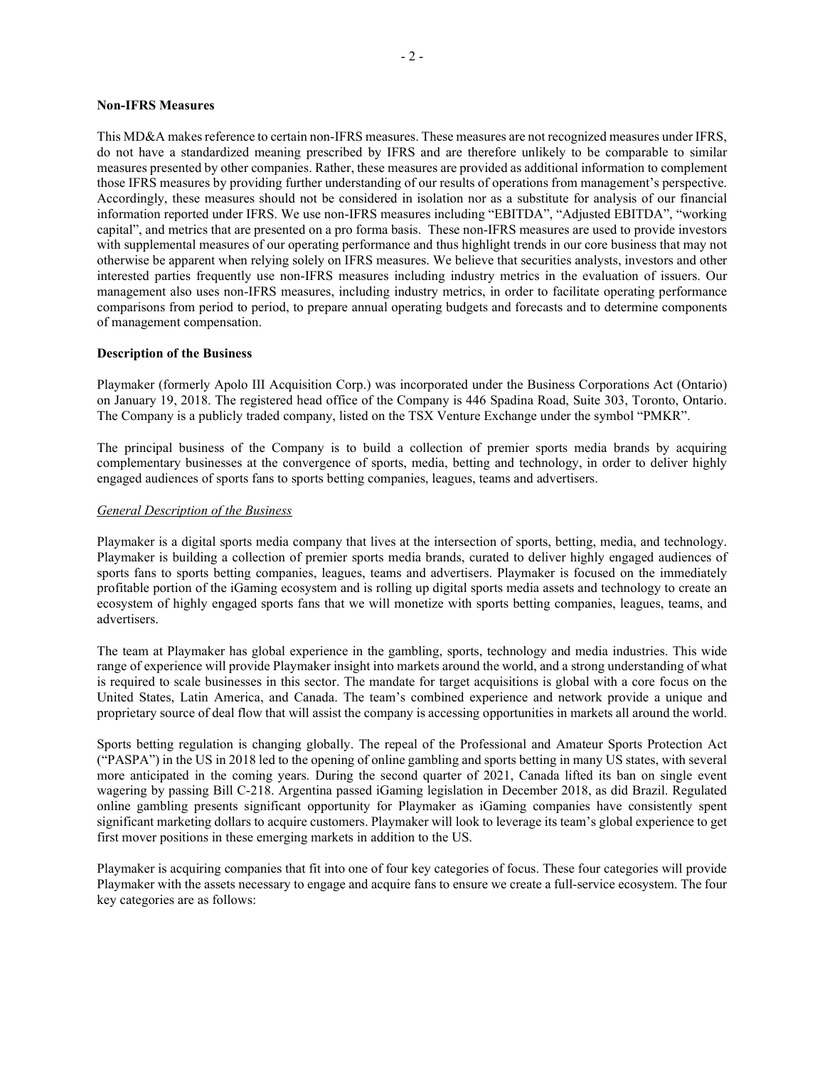#### Non-IFRS Measures

This MD&A makes reference to certain non-IFRS measures. These measures are not recognized measures under IFRS, do not have a standardized meaning prescribed by IFRS and are therefore unlikely to be comparable to similar measures presented by other companies. Rather, these measures are provided as additional information to complement those IFRS measures by providing further understanding of our results of operations from management's perspective. Accordingly, these measures should not be considered in isolation nor as a substitute for analysis of our financial information reported under IFRS. We use non-IFRS measures including "EBITDA", "Adjusted EBITDA", "working capital", and metrics that are presented on a pro forma basis. These non-IFRS measures are used to provide investors with supplemental measures of our operating performance and thus highlight trends in our core business that may not otherwise be apparent when relying solely on IFRS measures. We believe that securities analysts, investors and other interested parties frequently use non-IFRS measures including industry metrics in the evaluation of issuers. Our management also uses non-IFRS measures, including industry metrics, in order to facilitate operating performance comparisons from period to period, to prepare annual operating budgets and forecasts and to determine components of management compensation.

#### Description of the Business

Playmaker (formerly Apolo III Acquisition Corp.) was incorporated under the Business Corporations Act (Ontario) on January 19, 2018. The registered head office of the Company is 446 Spadina Road, Suite 303, Toronto, Ontario. The Company is a publicly traded company, listed on the TSX Venture Exchange under the symbol "PMKR".

The principal business of the Company is to build a collection of premier sports media brands by acquiring complementary businesses at the convergence of sports, media, betting and technology, in order to deliver highly engaged audiences of sports fans to sports betting companies, leagues, teams and advertisers.

#### General Description of the Business

Playmaker is a digital sports media company that lives at the intersection of sports, betting, media, and technology. Playmaker is building a collection of premier sports media brands, curated to deliver highly engaged audiences of sports fans to sports betting companies, leagues, teams and advertisers. Playmaker is focused on the immediately profitable portion of the iGaming ecosystem and is rolling up digital sports media assets and technology to create an ecosystem of highly engaged sports fans that we will monetize with sports betting companies, leagues, teams, and advertisers.

The team at Playmaker has global experience in the gambling, sports, technology and media industries. This wide range of experience will provide Playmaker insight into markets around the world, and a strong understanding of what is required to scale businesses in this sector. The mandate for target acquisitions is global with a core focus on the United States, Latin America, and Canada. The team's combined experience and network provide a unique and proprietary source of deal flow that will assist the company is accessing opportunities in markets all around the world.

Sports betting regulation is changing globally. The repeal of the Professional and Amateur Sports Protection Act ("PASPA") in the US in 2018 led to the opening of online gambling and sports betting in many US states, with several more anticipated in the coming years. During the second quarter of 2021, Canada lifted its ban on single event wagering by passing Bill C-218. Argentina passed iGaming legislation in December 2018, as did Brazil. Regulated online gambling presents significant opportunity for Playmaker as iGaming companies have consistently spent significant marketing dollars to acquire customers. Playmaker will look to leverage its team's global experience to get first mover positions in these emerging markets in addition to the US.

Playmaker is acquiring companies that fit into one of four key categories of focus. These four categories will provide Playmaker with the assets necessary to engage and acquire fans to ensure we create a full-service ecosystem. The four key categories are as follows: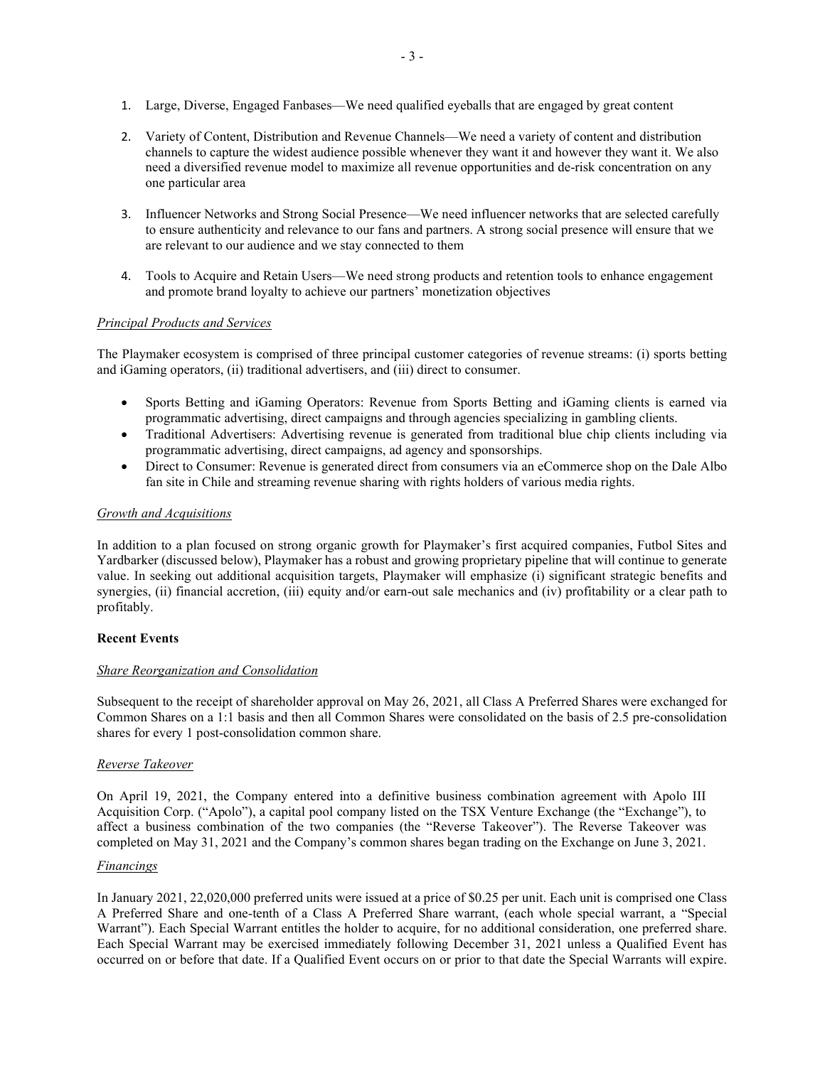- 1. Large, Diverse, Engaged Fanbases—We need qualified eyeballs that are engaged by great content
- 2. Variety of Content, Distribution and Revenue Channels—We need a variety of content and distribution channels to capture the widest audience possible whenever they want it and however they want it. We also need a diversified revenue model to maximize all revenue opportunities and de-risk concentration on any one particular area
- 3. Influencer Networks and Strong Social Presence—We need influencer networks that are selected carefully to ensure authenticity and relevance to our fans and partners. A strong social presence will ensure that we are relevant to our audience and we stay connected to them
- 4. Tools to Acquire and Retain Users—We need strong products and retention tools to enhance engagement and promote brand loyalty to achieve our partners' monetization objectives

## Principal Products and Services

The Playmaker ecosystem is comprised of three principal customer categories of revenue streams: (i) sports betting and iGaming operators, (ii) traditional advertisers, and (iii) direct to consumer.

- Sports Betting and iGaming Operators: Revenue from Sports Betting and iGaming clients is earned via programmatic advertising, direct campaigns and through agencies specializing in gambling clients.
- Traditional Advertisers: Advertising revenue is generated from traditional blue chip clients including via programmatic advertising, direct campaigns, ad agency and sponsorships.
- Direct to Consumer: Revenue is generated direct from consumers via an eCommerce shop on the Dale Albo fan site in Chile and streaming revenue sharing with rights holders of various media rights.

## Growth and Acquisitions

In addition to a plan focused on strong organic growth for Playmaker's first acquired companies, Futbol Sites and Yardbarker (discussed below), Playmaker has a robust and growing proprietary pipeline that will continue to generate value. In seeking out additional acquisition targets, Playmaker will emphasize (i) significant strategic benefits and synergies, (ii) financial accretion, (iii) equity and/or earn-out sale mechanics and (iv) profitability or a clear path to profitably.

#### Recent Events

#### Share Reorganization and Consolidation

Subsequent to the receipt of shareholder approval on May 26, 2021, all Class A Preferred Shares were exchanged for Common Shares on a 1:1 basis and then all Common Shares were consolidated on the basis of 2.5 pre-consolidation shares for every 1 post-consolidation common share.

#### Reverse Takeover

On April 19, 2021, the Company entered into a definitive business combination agreement with Apolo III Acquisition Corp. ("Apolo"), a capital pool company listed on the TSX Venture Exchange (the "Exchange"), to affect a business combination of the two companies (the "Reverse Takeover"). The Reverse Takeover was completed on May 31, 2021 and the Company's common shares began trading on the Exchange on June 3, 2021.

## Financings

In January 2021, 22,020,000 preferred units were issued at a price of \$0.25 per unit. Each unit is comprised one Class A Preferred Share and one-tenth of a Class A Preferred Share warrant, (each whole special warrant, a "Special Warrant"). Each Special Warrant entitles the holder to acquire, for no additional consideration, one preferred share. Each Special Warrant may be exercised immediately following December 31, 2021 unless a Qualified Event has occurred on or before that date. If a Qualified Event occurs on or prior to that date the Special Warrants will expire.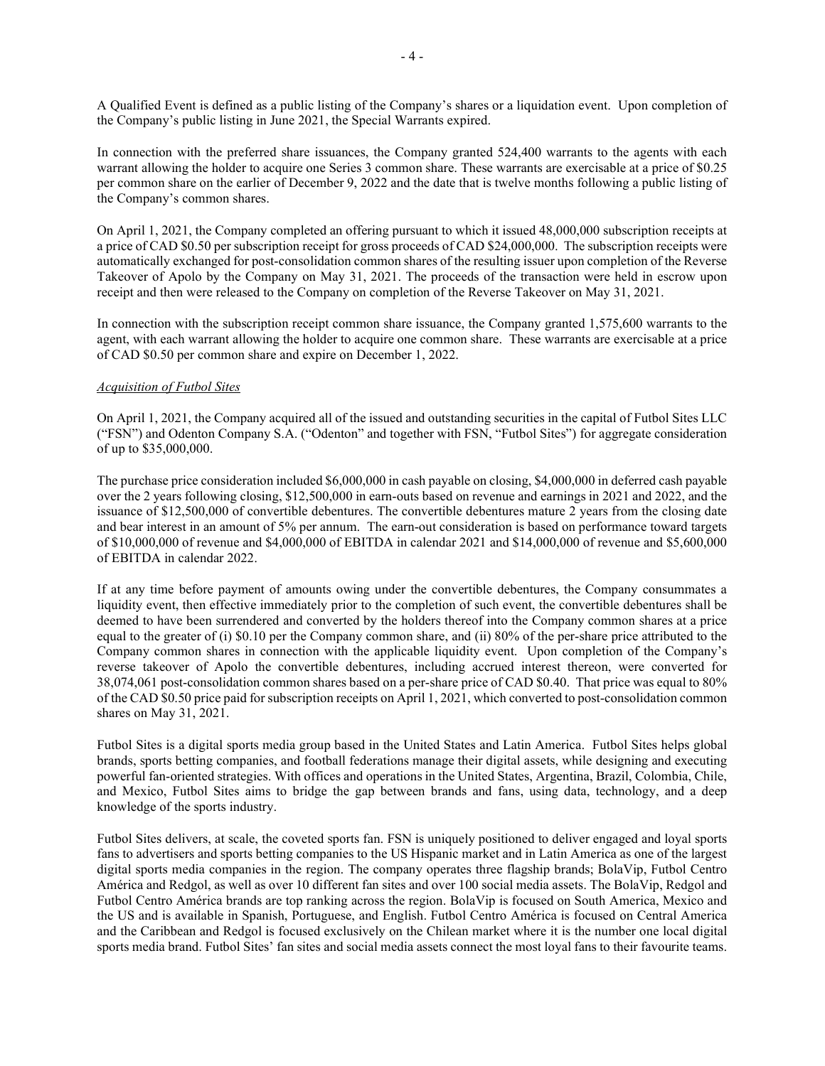A Qualified Event is defined as a public listing of the Company's shares or a liquidation event. Upon completion of the Company's public listing in June 2021, the Special Warrants expired.

In connection with the preferred share issuances, the Company granted 524,400 warrants to the agents with each warrant allowing the holder to acquire one Series 3 common share. These warrants are exercisable at a price of \$0.25 per common share on the earlier of December 9, 2022 and the date that is twelve months following a public listing of the Company's common shares.

On April 1, 2021, the Company completed an offering pursuant to which it issued 48,000,000 subscription receipts at a price of CAD \$0.50 per subscription receipt for gross proceeds of CAD \$24,000,000. The subscription receipts were automatically exchanged for post-consolidation common shares of the resulting issuer upon completion of the Reverse Takeover of Apolo by the Company on May 31, 2021. The proceeds of the transaction were held in escrow upon receipt and then were released to the Company on completion of the Reverse Takeover on May 31, 2021.

In connection with the subscription receipt common share issuance, the Company granted 1,575,600 warrants to the agent, with each warrant allowing the holder to acquire one common share. These warrants are exercisable at a price of CAD \$0.50 per common share and expire on December 1, 2022.

#### Acquisition of Futbol Sites

On April 1, 2021, the Company acquired all of the issued and outstanding securities in the capital of Futbol Sites LLC ("FSN") and Odenton Company S.A. ("Odenton" and together with FSN, "Futbol Sites") for aggregate consideration of up to \$35,000,000.

The purchase price consideration included \$6,000,000 in cash payable on closing, \$4,000,000 in deferred cash payable over the 2 years following closing, \$12,500,000 in earn-outs based on revenue and earnings in 2021 and 2022, and the issuance of \$12,500,000 of convertible debentures. The convertible debentures mature 2 years from the closing date and bear interest in an amount of 5% per annum. The earn-out consideration is based on performance toward targets of \$10,000,000 of revenue and \$4,000,000 of EBITDA in calendar 2021 and \$14,000,000 of revenue and \$5,600,000 of EBITDA in calendar 2022.

If at any time before payment of amounts owing under the convertible debentures, the Company consummates a liquidity event, then effective immediately prior to the completion of such event, the convertible debentures shall be deemed to have been surrendered and converted by the holders thereof into the Company common shares at a price equal to the greater of (i) \$0.10 per the Company common share, and (ii) 80% of the per-share price attributed to the Company common shares in connection with the applicable liquidity event. Upon completion of the Company's reverse takeover of Apolo the convertible debentures, including accrued interest thereon, were converted for 38,074,061 post-consolidation common shares based on a per-share price of CAD \$0.40. That price was equal to 80% of the CAD \$0.50 price paid for subscription receipts on April 1, 2021, which converted to post-consolidation common shares on May 31, 2021.

Futbol Sites is a digital sports media group based in the United States and Latin America. Futbol Sites helps global brands, sports betting companies, and football federations manage their digital assets, while designing and executing powerful fan-oriented strategies. With offices and operations in the United States, Argentina, Brazil, Colombia, Chile, and Mexico, Futbol Sites aims to bridge the gap between brands and fans, using data, technology, and a deep knowledge of the sports industry.

Futbol Sites delivers, at scale, the coveted sports fan. FSN is uniquely positioned to deliver engaged and loyal sports fans to advertisers and sports betting companies to the US Hispanic market and in Latin America as one of the largest digital sports media companies in the region. The company operates three flagship brands; BolaVip, Futbol Centro América and Redgol, as well as over 10 different fan sites and over 100 social media assets. The BolaVip, Redgol and Futbol Centro América brands are top ranking across the region. BolaVip is focused on South America, Mexico and the US and is available in Spanish, Portuguese, and English. Futbol Centro América is focused on Central America and the Caribbean and Redgol is focused exclusively on the Chilean market where it is the number one local digital sports media brand. Futbol Sites' fan sites and social media assets connect the most loyal fans to their favourite teams.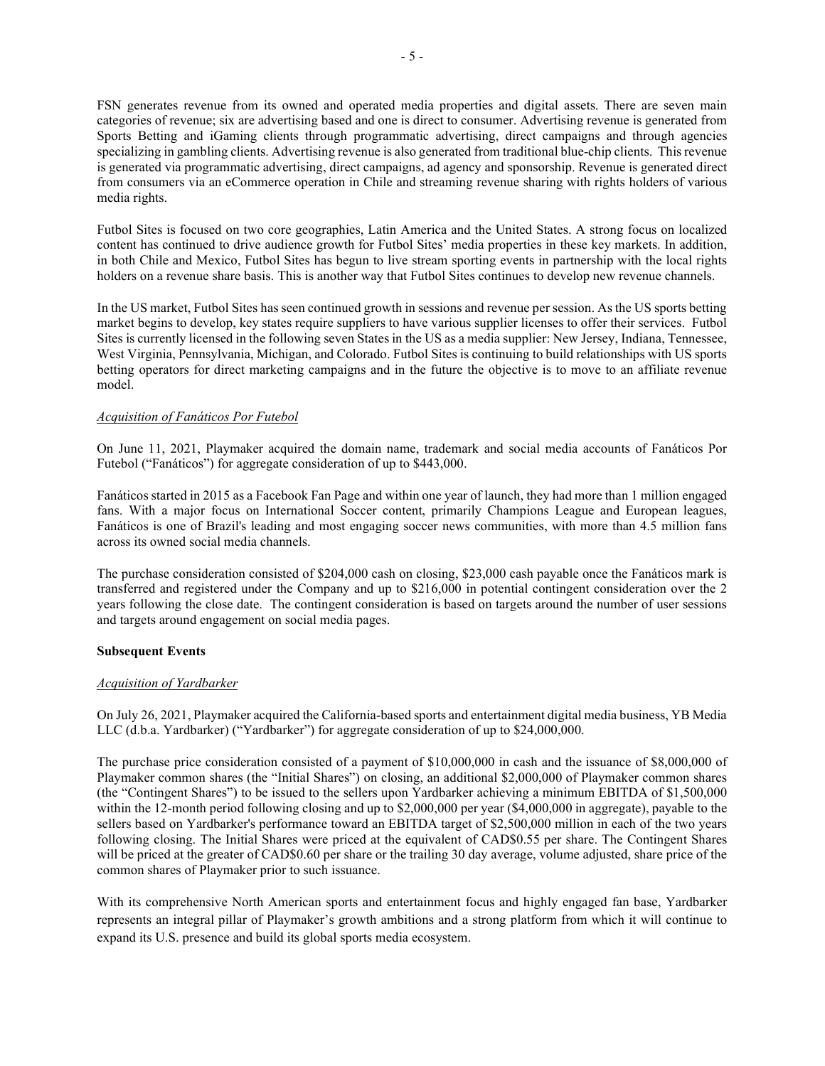FSN generates revenue from its owned and operated media properties and digital assets. There are seven main categories of revenue; six are advertising based and one is direct to consumer. Advertising revenue is generated from Sports Betting and iGaming clients through programmatic advertising, direct campaigns and through agencies specializing in gambling clients. Advertising revenue is also generated from traditional blue-chip clients. This revenue is generated via programmatic advertising, direct campaigns, ad agency and sponsorship. Revenue is generated direct from consumers via an eCommerce operation in Chile and streaming revenue sharing with rights holders of various media rights.

Futbol Sites is focused on two core geographies, Latin America and the United States. A strong focus on localized content has continued to drive audience growth for Futbol Sites' media properties in these key markets. In addition, in both Chile and Mexico, Futbol Sites has begun to live stream sporting events in partnership with the local rights holders on a revenue share basis. This is another way that Futbol Sites continues to develop new revenue channels.

In the US market, Futbol Sites has seen continued growth in sessions and revenue per session. As the US sports betting market begins to develop, key states require suppliers to have various supplier licenses to offer their services. Futbol Sites is currently licensed in the following seven States in the US as a media supplier: New Jersey, Indiana, Tennessee, West Virginia, Pennsylvania, Michigan, and Colorado. Futbol Sites is continuing to build relationships with US sports betting operators for direct marketing campaigns and in the future the objective is to move to an affiliate revenue model.

# Acquisition of Fanáticos Por Futebol

On June 11, 2021, Playmaker acquired the domain name, trademark and social media accounts of Fanáticos Por Futebol ("Fanáticos") for aggregate consideration of up to \$443,000.

Fanáticos started in 2015 as a Facebook Fan Page and within one year of launch, they had more than 1 million engaged fans. With a major focus on International Soccer content, primarily Champions League and European leagues, Fanáticos is one of Brazil's leading and most engaging soccer news communities, with more than 4.5 million fans across its owned social media channels.

The purchase consideration consisted of \$204,000 cash on closing, \$23,000 cash payable once the Fanáticos mark is transferred and registered under the Company and up to \$216,000 in potential contingent consideration over the 2 years following the close date. The contingent consideration is based on targets around the number of user sessions and targets around engagement on social media pages.

#### Subsequent Events

#### Acquisition of Yardbarker

On July 26, 2021, Playmaker acquired the California-based sports and entertainment digital media business, YB Media LLC (d.b.a. Yardbarker) ("Yardbarker") for aggregate consideration of up to \$24,000,000.

The purchase price consideration consisted of a payment of \$10,000,000 in cash and the issuance of \$8,000,000 of Playmaker common shares (the "Initial Shares") on closing, an additional \$2,000,000 of Playmaker common shares (the "Contingent Shares") to be issued to the sellers upon Yardbarker achieving a minimum EBITDA of \$1,500,000 within the 12-month period following closing and up to \$2,000,000 per year (\$4,000,000 in aggregate), payable to the sellers based on Yardbarker's performance toward an EBITDA target of \$2,500,000 million in each of the two years following closing. The Initial Shares were priced at the equivalent of CAD\$0.55 per share. The Contingent Shares will be priced at the greater of CAD\$0.60 per share or the trailing 30 day average, volume adjusted, share price of the common shares of Playmaker prior to such issuance.

With its comprehensive North American sports and entertainment focus and highly engaged fan base, Yardbarker represents an integral pillar of Playmaker's growth ambitions and a strong platform from which it will continue to expand its U.S. presence and build its global sports media ecosystem.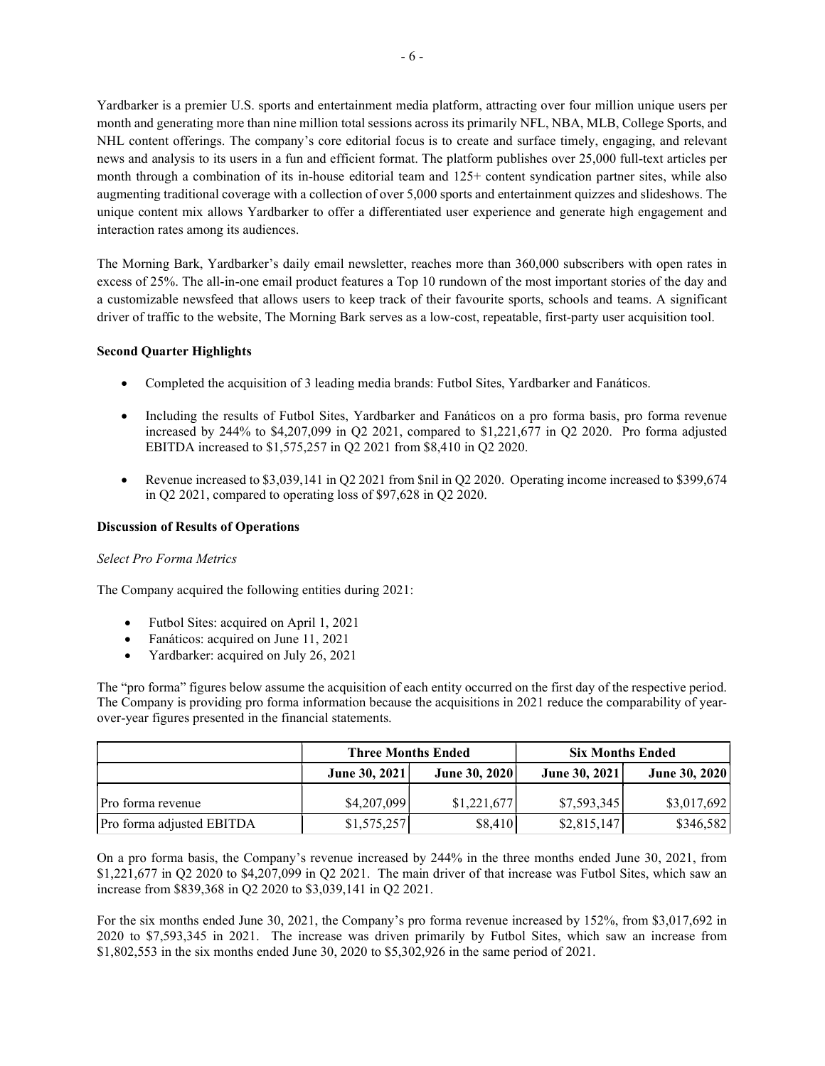Yardbarker is a premier U.S. sports and entertainment media platform, attracting over four million unique users per month and generating more than nine million total sessions across its primarily NFL, NBA, MLB, College Sports, and NHL content offerings. The company's core editorial focus is to create and surface timely, engaging, and relevant news and analysis to its users in a fun and efficient format. The platform publishes over 25,000 full-text articles per month through a combination of its in-house editorial team and 125+ content syndication partner sites, while also augmenting traditional coverage with a collection of over 5,000 sports and entertainment quizzes and slideshows. The unique content mix allows Yardbarker to offer a differentiated user experience and generate high engagement and interaction rates among its audiences.

The Morning Bark, Yardbarker's daily email newsletter, reaches more than 360,000 subscribers with open rates in excess of 25%. The all-in-one email product features a Top 10 rundown of the most important stories of the day and a customizable newsfeed that allows users to keep track of their favourite sports, schools and teams. A significant driver of traffic to the website, The Morning Bark serves as a low-cost, repeatable, first-party user acquisition tool.

# Second Quarter Highlights

- Completed the acquisition of 3 leading media brands: Futbol Sites, Yardbarker and Fanáticos.
- Including the results of Futbol Sites, Yardbarker and Fanáticos on a pro forma basis, pro forma revenue increased by 244% to \$4,207,099 in Q2 2021, compared to \$1,221,677 in Q2 2020. Pro forma adjusted EBITDA increased to \$1,575,257 in Q2 2021 from \$8,410 in Q2 2020.
- Revenue increased to \$3,039,141 in Q2 2021 from \$nil in Q2 2020. Operating income increased to \$399,674 in Q2 2021, compared to operating loss of \$97,628 in Q2 2020.

### Discussion of Results of Operations

#### Select Pro Forma Metrics

The Company acquired the following entities during 2021:

- Futbol Sites: acquired on April 1, 2021
- Fanáticos: acquired on June 11, 2021
- Yardbarker: acquired on July 26, 2021

The "pro forma" figures below assume the acquisition of each entity occurred on the first day of the respective period. The Company is providing pro forma information because the acquisitions in 2021 reduce the comparability of yearover-year figures presented in the financial statements.

|                           | <b>Three Months Ended</b> |               | <b>Six Months Ended</b> |               |
|---------------------------|---------------------------|---------------|-------------------------|---------------|
|                           | June 30, 2021             | June 30, 2020 | June 30, 2021           | June 30, 2020 |
| Pro forma revenue         | \$4,207,099               | \$1,221,677   | \$7,593,345             | \$3,017,692   |
| Pro forma adjusted EBITDA | \$1,575,257               | \$8,410       | \$2,815,147             | \$346,582     |

On a pro forma basis, the Company's revenue increased by 244% in the three months ended June 30, 2021, from \$1,221,677 in Q2 2020 to \$4,207,099 in Q2 2021. The main driver of that increase was Futbol Sites, which saw an increase from \$839,368 in Q2 2020 to \$3,039,141 in Q2 2021.

For the six months ended June 30, 2021, the Company's pro forma revenue increased by 152%, from \$3,017,692 in 2020 to \$7,593,345 in 2021. The increase was driven primarily by Futbol Sites, which saw an increase from \$1,802,553 in the six months ended June 30, 2020 to \$5,302,926 in the same period of 2021.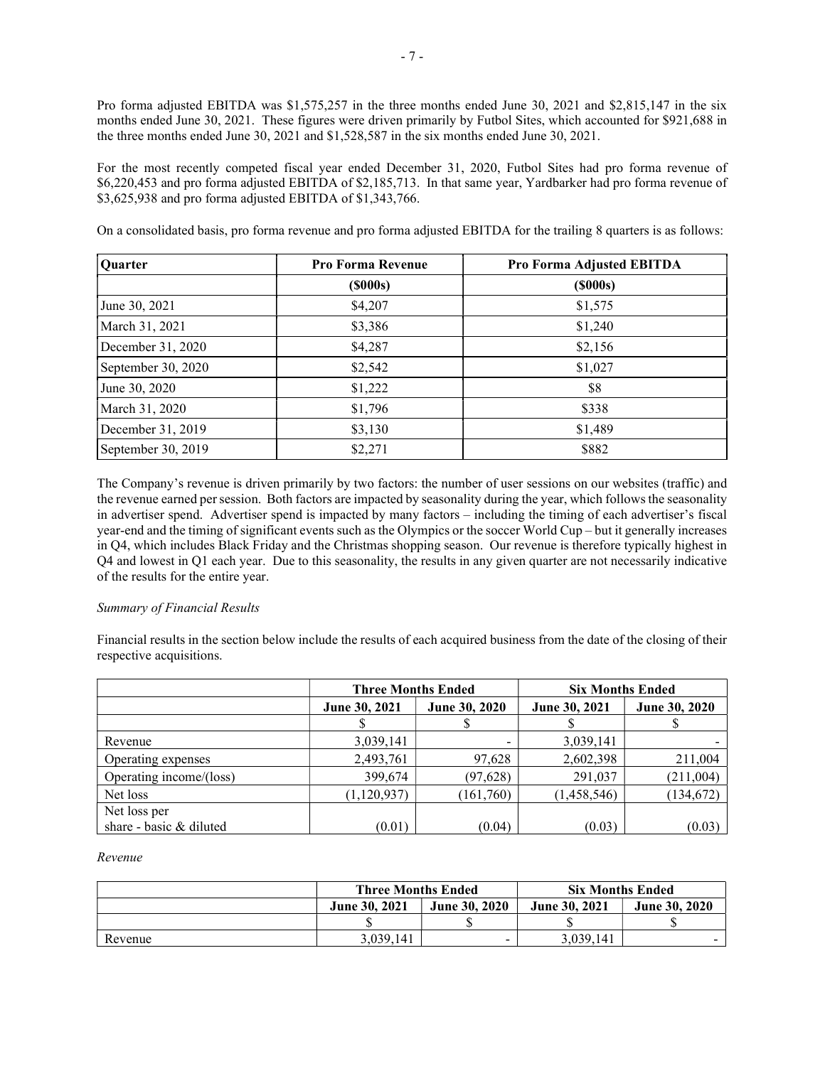Pro forma adjusted EBITDA was \$1,575,257 in the three months ended June 30, 2021 and \$2,815,147 in the six months ended June 30, 2021. These figures were driven primarily by Futbol Sites, which accounted for \$921,688 in the three months ended June 30, 2021 and \$1,528,587 in the six months ended June 30, 2021.

For the most recently competed fiscal year ended December 31, 2020, Futbol Sites had pro forma revenue of \$6,220,453 and pro forma adjusted EBITDA of \$2,185,713. In that same year, Yardbarker had pro forma revenue of \$3,625,938 and pro forma adjusted EBITDA of \$1,343,766.

On a consolidated basis, pro forma revenue and pro forma adjusted EBITDA for the trailing 8 quarters is as follows:

| <b>Ouarter</b>     | <b>Pro Forma Revenue</b> | Pro Forma Adjusted EBITDA |
|--------------------|--------------------------|---------------------------|
|                    | $($ \$000s $)$           | (S000s)                   |
| June 30, 2021      | \$4,207                  | \$1,575                   |
| March 31, 2021     | \$3,386                  | \$1,240                   |
| December 31, 2020  | \$4,287                  | \$2,156                   |
| September 30, 2020 | \$2,542                  | \$1,027                   |
| June 30, 2020      | \$1,222                  | \$8                       |
| March 31, 2020     | \$1,796                  | \$338                     |
| December 31, 2019  | \$3,130                  | \$1,489                   |
| September 30, 2019 | \$2,271                  | \$882                     |

The Company's revenue is driven primarily by two factors: the number of user sessions on our websites (traffic) and the revenue earned per session. Both factors are impacted by seasonality during the year, which follows the seasonality in advertiser spend. Advertiser spend is impacted by many factors – including the timing of each advertiser's fiscal year-end and the timing of significant events such as the Olympics or the soccer World Cup – but it generally increases in Q4, which includes Black Friday and the Christmas shopping season. Our revenue is therefore typically highest in Q4 and lowest in Q1 each year. Due to this seasonality, the results in any given quarter are not necessarily indicative of the results for the entire year.

#### Summary of Financial Results

Financial results in the section below include the results of each acquired business from the date of the closing of their respective acquisitions.

|                         | <b>Three Months Ended</b> |               | <b>Six Months Ended</b> |               |
|-------------------------|---------------------------|---------------|-------------------------|---------------|
|                         | June 30, 2021             | June 30, 2020 | June 30, 2021           | June 30, 2020 |
|                         |                           |               |                         |               |
| Revenue                 | 3,039,141                 |               | 3,039,141               |               |
| Operating expenses      | 2,493,761                 | 97,628        | 2,602,398               | 211,004       |
| Operating income/(loss) | 399,674                   | (97, 628)     | 291,037                 | (211,004)     |
| Net loss                | (1, 120, 937)             | (161,760)     | (1,458,546)             | (134, 672)    |
| Net loss per            |                           |               |                         |               |
| share - basic & diluted | (0.01)                    | (0.04)        | (0.03)                  | (0.03)        |

#### Revenue

|         | <b>Three Months Ended</b> |                      | <b>Six Months Ended</b> |                      |
|---------|---------------------------|----------------------|-------------------------|----------------------|
|         | June 30, 2021             | <b>June 30, 2020</b> | <b>June 30, 2021</b>    | <b>June 30, 2020</b> |
|         |                           |                      |                         |                      |
| Revenue | 3,039,141                 |                      | 3.039.141               |                      |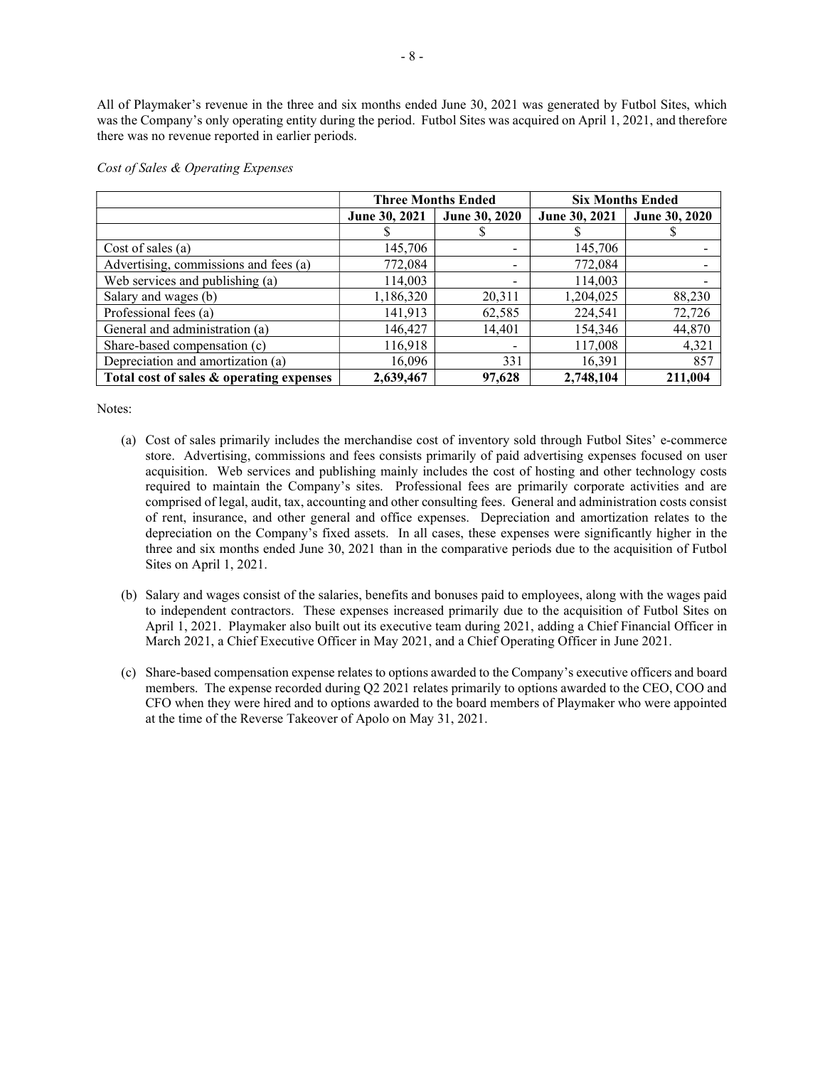All of Playmaker's revenue in the three and six months ended June 30, 2021 was generated by Futbol Sites, which was the Company's only operating entity during the period. Futbol Sites was acquired on April 1, 2021, and therefore there was no revenue reported in earlier periods.

|                                          | <b>Three Months Ended</b> |                              |               | <b>Six Months Ended</b> |
|------------------------------------------|---------------------------|------------------------------|---------------|-------------------------|
|                                          | June 30, 2021             | <b>June 30, 2020</b>         | June 30, 2021 | June 30, 2020           |
|                                          |                           |                              |               |                         |
| Cost of sales $(a)$                      | 145,706                   | $\overline{\phantom{0}}$     | 145,706       |                         |
| Advertising, commissions and fees (a)    | 772,084                   | $\overline{\phantom{0}}$     | 772,084       |                         |
| Web services and publishing (a)          | 114,003                   | $\qquad \qquad \blacksquare$ | 114,003       |                         |
| Salary and wages (b)                     | 1,186,320                 | 20,311                       | 1,204,025     | 88,230                  |
| Professional fees (a)                    | 141,913                   | 62,585                       | 224,541       | 72,726                  |
| General and administration (a)           | 146,427                   | 14,401                       | 154,346       | 44,870                  |
| Share-based compensation (c)             | 116,918                   | $\overline{\phantom{0}}$     | 117,008       | 4,321                   |
| Depreciation and amortization (a)        | 16,096                    | 331                          | 16,391        | 857                     |
| Total cost of sales & operating expenses | 2,639,467                 | 97,628                       | 2.748.104     | 211,004                 |

#### Cost of Sales & Operating Expenses

Notes:

- (a) Cost of sales primarily includes the merchandise cost of inventory sold through Futbol Sites' e-commerce store. Advertising, commissions and fees consists primarily of paid advertising expenses focused on user acquisition. Web services and publishing mainly includes the cost of hosting and other technology costs required to maintain the Company's sites. Professional fees are primarily corporate activities and are comprised of legal, audit, tax, accounting and other consulting fees. General and administration costs consist of rent, insurance, and other general and office expenses. Depreciation and amortization relates to the depreciation on the Company's fixed assets. In all cases, these expenses were significantly higher in the three and six months ended June 30, 2021 than in the comparative periods due to the acquisition of Futbol Sites on April 1, 2021.
- (b) Salary and wages consist of the salaries, benefits and bonuses paid to employees, along with the wages paid to independent contractors. These expenses increased primarily due to the acquisition of Futbol Sites on April 1, 2021. Playmaker also built out its executive team during 2021, adding a Chief Financial Officer in March 2021, a Chief Executive Officer in May 2021, and a Chief Operating Officer in June 2021.
- (c) Share-based compensation expense relates to options awarded to the Company's executive officers and board members. The expense recorded during Q2 2021 relates primarily to options awarded to the CEO, COO and CFO when they were hired and to options awarded to the board members of Playmaker who were appointed at the time of the Reverse Takeover of Apolo on May 31, 2021.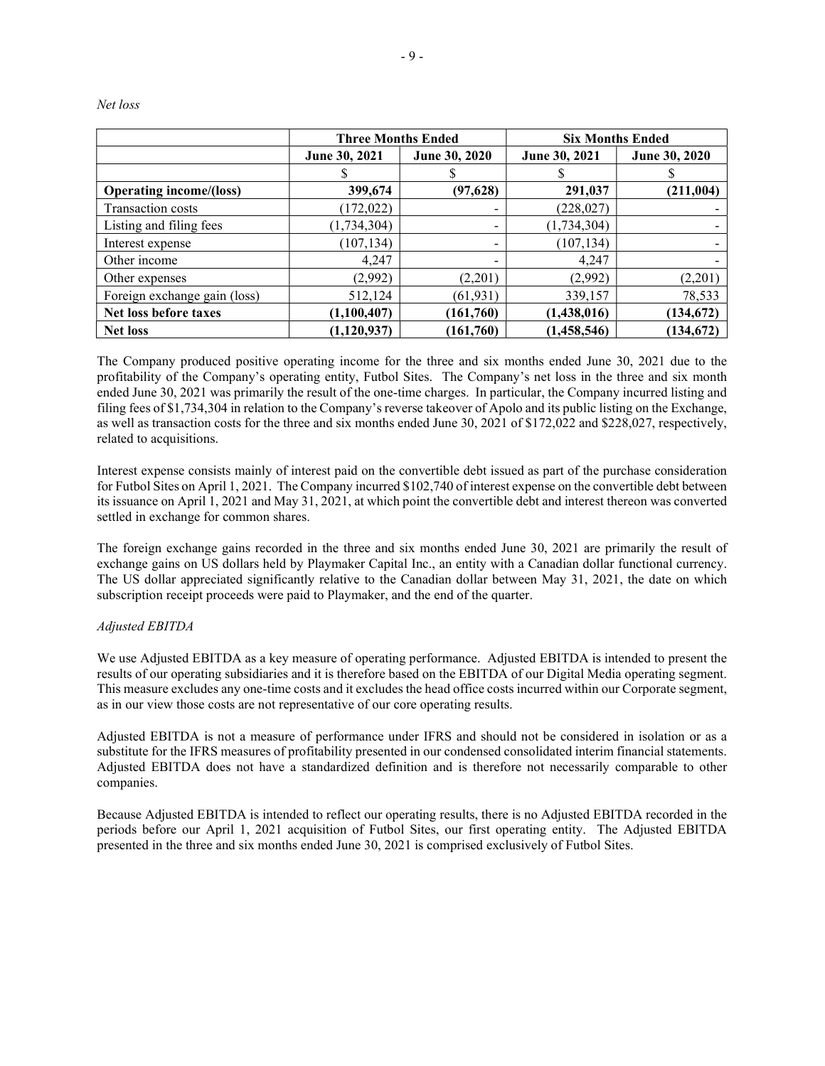|                                | <b>Three Months Ended</b> |                          | <b>Six Months Ended</b> |               |
|--------------------------------|---------------------------|--------------------------|-------------------------|---------------|
|                                | June 30, 2021             | June 30, 2020            | June 30, 2021           | June 30, 2020 |
|                                |                           | Α                        |                         | D             |
| <b>Operating income/(loss)</b> | 399,674                   | (97, 628)                | 291,037                 | (211, 004)    |
| Transaction costs              | (172, 022)                | ۰                        | (228, 027)              |               |
| Listing and filing fees        | (1,734,304)               | $\overline{\phantom{0}}$ | (1,734,304)             |               |
| Interest expense               | (107, 134)                | $\overline{\phantom{0}}$ | (107, 134)              |               |
| Other income                   | 4,247                     | -                        | 4,247                   |               |
| Other expenses                 | (2,992)                   | (2,201)                  | (2,992)                 | (2,201)       |
| Foreign exchange gain (loss)   | 512,124                   | (61, 931)                | 339,157                 | 78,533        |
| Net loss before taxes          | (1,100,407)               | (161,760)                | (1,438,016)             | (134, 672)    |
| <b>Net loss</b>                | (1,120,937)               | (161,760)                | (1,458,546)             | (134, 672)    |

Net loss

The Company produced positive operating income for the three and six months ended June 30, 2021 due to the profitability of the Company's operating entity, Futbol Sites. The Company's net loss in the three and six month ended June 30, 2021 was primarily the result of the one-time charges. In particular, the Company incurred listing and filing fees of \$1,734,304 in relation to the Company's reverse takeover of Apolo and its public listing on the Exchange, as well as transaction costs for the three and six months ended June 30, 2021 of \$172,022 and \$228,027, respectively, related to acquisitions.

Interest expense consists mainly of interest paid on the convertible debt issued as part of the purchase consideration for Futbol Sites on April 1, 2021. The Company incurred \$102,740 of interest expense on the convertible debt between its issuance on April 1, 2021 and May 31, 2021, at which point the convertible debt and interest thereon was converted settled in exchange for common shares.

The foreign exchange gains recorded in the three and six months ended June 30, 2021 are primarily the result of exchange gains on US dollars held by Playmaker Capital Inc., an entity with a Canadian dollar functional currency. The US dollar appreciated significantly relative to the Canadian dollar between May 31, 2021, the date on which subscription receipt proceeds were paid to Playmaker, and the end of the quarter.

# Adjusted EBITDA

We use Adjusted EBITDA as a key measure of operating performance. Adjusted EBITDA is intended to present the results of our operating subsidiaries and it is therefore based on the EBITDA of our Digital Media operating segment. This measure excludes any one-time costs and it excludes the head office costs incurred within our Corporate segment, as in our view those costs are not representative of our core operating results.

Adjusted EBITDA is not a measure of performance under IFRS and should not be considered in isolation or as a substitute for the IFRS measures of profitability presented in our condensed consolidated interim financial statements. Adjusted EBITDA does not have a standardized definition and is therefore not necessarily comparable to other companies.

Because Adjusted EBITDA is intended to reflect our operating results, there is no Adjusted EBITDA recorded in the periods before our April 1, 2021 acquisition of Futbol Sites, our first operating entity. The Adjusted EBITDA presented in the three and six months ended June 30, 2021 is comprised exclusively of Futbol Sites.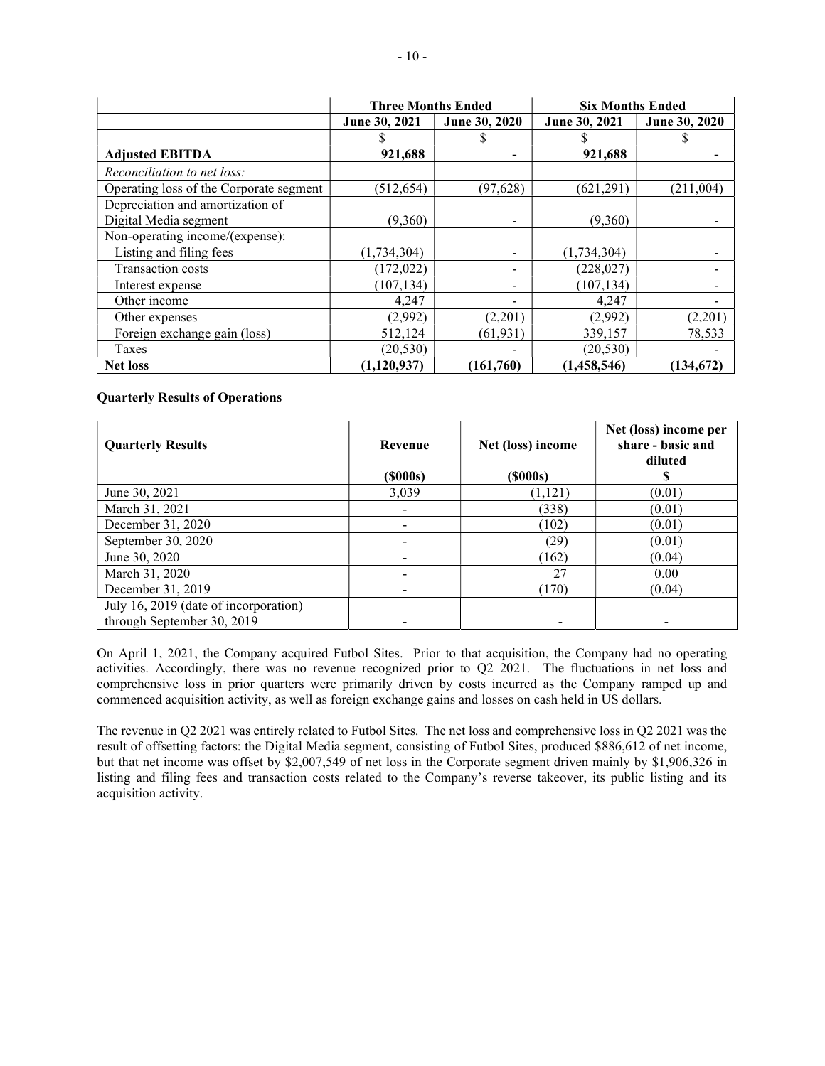|                                         | <b>Three Months Ended</b> |               | <b>Six Months Ended</b> |               |
|-----------------------------------------|---------------------------|---------------|-------------------------|---------------|
|                                         | June 30, 2021             | June 30, 2020 | June 30, 2021           | June 30, 2020 |
|                                         |                           |               |                         |               |
| <b>Adjusted EBITDA</b>                  | 921,688                   |               | 921,688                 |               |
| Reconciliation to net loss:             |                           |               |                         |               |
| Operating loss of the Corporate segment | (512, 654)                | (97, 628)     | (621, 291)              | (211,004)     |
| Depreciation and amortization of        |                           |               |                         |               |
| Digital Media segment                   | (9,360)                   |               | (9,360)                 |               |
| Non-operating income/(expense):         |                           |               |                         |               |
| Listing and filing fees                 | (1,734,304)               |               | (1,734,304)             |               |
| Transaction costs                       | (172, 022)                |               | (228, 027)              |               |
| Interest expense                        | (107, 134)                |               | (107, 134)              |               |
| Other income                            | 4,247                     |               | 4,247                   |               |
| Other expenses                          | (2,992)                   | (2,201)       | (2,992)                 | (2,201)       |
| Foreign exchange gain (loss)            | 512,124                   | (61, 931)     | 339,157                 | 78,533        |
| Taxes                                   | (20, 530)                 |               | (20, 530)               |               |
| <b>Net loss</b>                         | (1, 120, 937)             | (161,760)     | (1,458,546)             | (134, 672)    |

## Quarterly Results of Operations

| <b>Quarterly Results</b>              | Revenue        | Net (loss) income | Net (loss) income per<br>share - basic and<br>diluted |
|---------------------------------------|----------------|-------------------|-------------------------------------------------------|
|                                       | $($ \$000s $)$ | $($ \$000s $)$    |                                                       |
| June 30, 2021                         | 3,039          | (1, 121)          | (0.01)                                                |
| March 31, 2021                        |                | (338)             | (0.01)                                                |
| December 31, 2020                     |                | (102)             | (0.01)                                                |
| September 30, 2020                    |                | (29)              | (0.01)                                                |
| June 30, 2020                         |                | (162)             | (0.04)                                                |
| March 31, 2020                        |                | 27                | 0.00                                                  |
| December 31, 2019                     |                | (170)             | (0.04)                                                |
| July 16, 2019 (date of incorporation) |                |                   |                                                       |
| through September 30, 2019            |                |                   |                                                       |

On April 1, 2021, the Company acquired Futbol Sites. Prior to that acquisition, the Company had no operating activities. Accordingly, there was no revenue recognized prior to Q2 2021. The fluctuations in net loss and comprehensive loss in prior quarters were primarily driven by costs incurred as the Company ramped up and commenced acquisition activity, as well as foreign exchange gains and losses on cash held in US dollars.

The revenue in Q2 2021 was entirely related to Futbol Sites. The net loss and comprehensive loss in Q2 2021 was the result of offsetting factors: the Digital Media segment, consisting of Futbol Sites, produced \$886,612 of net income, but that net income was offset by \$2,007,549 of net loss in the Corporate segment driven mainly by \$1,906,326 in listing and filing fees and transaction costs related to the Company's reverse takeover, its public listing and its acquisition activity.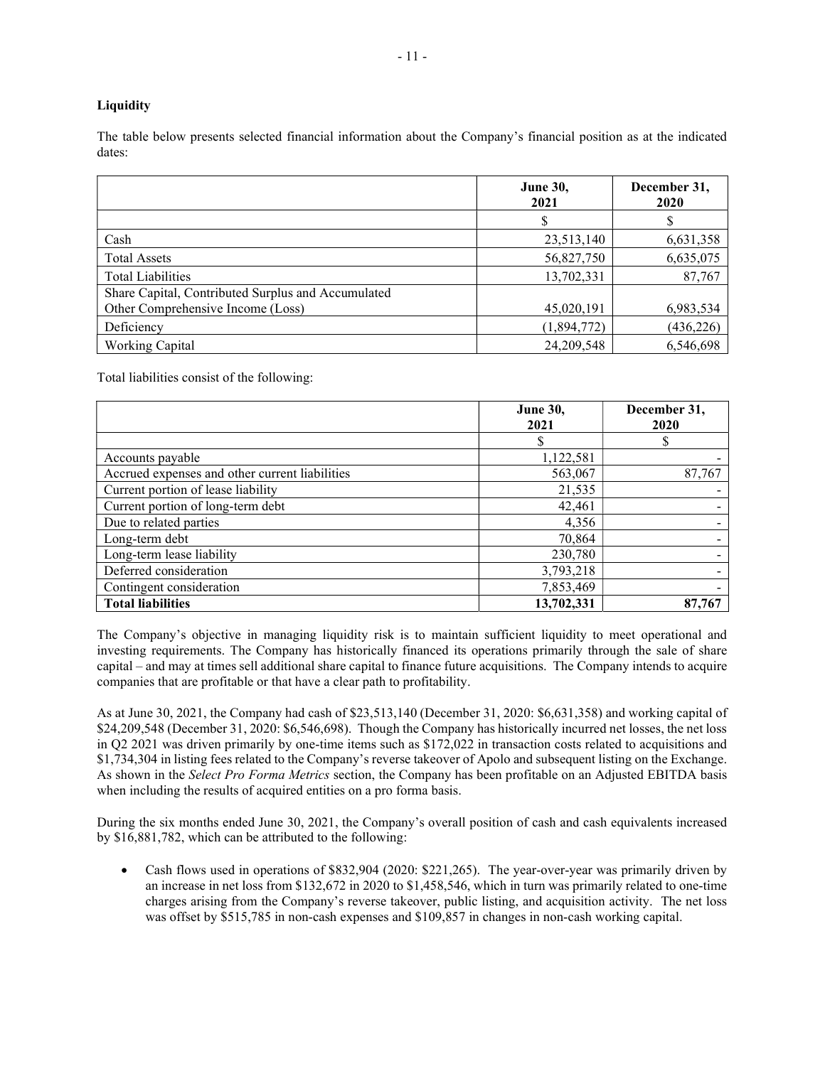# **Liquidity**

The table below presents selected financial information about the Company's financial position as at the indicated dates:

|                                                    | <b>June 30,</b><br>2021 | December 31,<br>2020 |
|----------------------------------------------------|-------------------------|----------------------|
|                                                    |                         |                      |
| Cash                                               | 23,513,140              | 6,631,358            |
| <b>Total Assets</b>                                | 56,827,750              | 6,635,075            |
| <b>Total Liabilities</b>                           | 13,702,331              | 87,767               |
| Share Capital, Contributed Surplus and Accumulated |                         |                      |
| Other Comprehensive Income (Loss)                  | 45,020,191              | 6,983,534            |
| Deficiency                                         | (1,894,772)             | (436, 226)           |
| <b>Working Capital</b>                             | 24, 209, 548            | 6,546,698            |

Total liabilities consist of the following:

|                                                | <b>June 30,</b><br>2021 | December 31,<br>2020 |
|------------------------------------------------|-------------------------|----------------------|
|                                                | S                       |                      |
| Accounts payable                               | 1,122,581               |                      |
| Accrued expenses and other current liabilities | 563,067                 | 87,767               |
| Current portion of lease liability             | 21,535                  |                      |
| Current portion of long-term debt              | 42,461                  |                      |
| Due to related parties                         | 4,356                   |                      |
| Long-term debt                                 | 70,864                  |                      |
| Long-term lease liability                      | 230,780                 |                      |
| Deferred consideration                         | 3,793,218               |                      |
| Contingent consideration                       | 7,853,469               |                      |
| <b>Total liabilities</b>                       | 13,702,331              | 87,767               |

The Company's objective in managing liquidity risk is to maintain sufficient liquidity to meet operational and investing requirements. The Company has historically financed its operations primarily through the sale of share capital – and may at times sell additional share capital to finance future acquisitions. The Company intends to acquire companies that are profitable or that have a clear path to profitability.

As at June 30, 2021, the Company had cash of \$23,513,140 (December 31, 2020: \$6,631,358) and working capital of \$24,209,548 (December 31, 2020: \$6,546,698). Though the Company has historically incurred net losses, the net loss in Q2 2021 was driven primarily by one-time items such as \$172,022 in transaction costs related to acquisitions and \$1,734,304 in listing fees related to the Company's reverse takeover of Apolo and subsequent listing on the Exchange. As shown in the Select Pro Forma Metrics section, the Company has been profitable on an Adjusted EBITDA basis when including the results of acquired entities on a pro forma basis.

During the six months ended June 30, 2021, the Company's overall position of cash and cash equivalents increased by \$16,881,782, which can be attributed to the following:

 Cash flows used in operations of \$832,904 (2020: \$221,265). The year-over-year was primarily driven by an increase in net loss from \$132,672 in 2020 to \$1,458,546, which in turn was primarily related to one-time charges arising from the Company's reverse takeover, public listing, and acquisition activity. The net loss was offset by \$515,785 in non-cash expenses and \$109,857 in changes in non-cash working capital.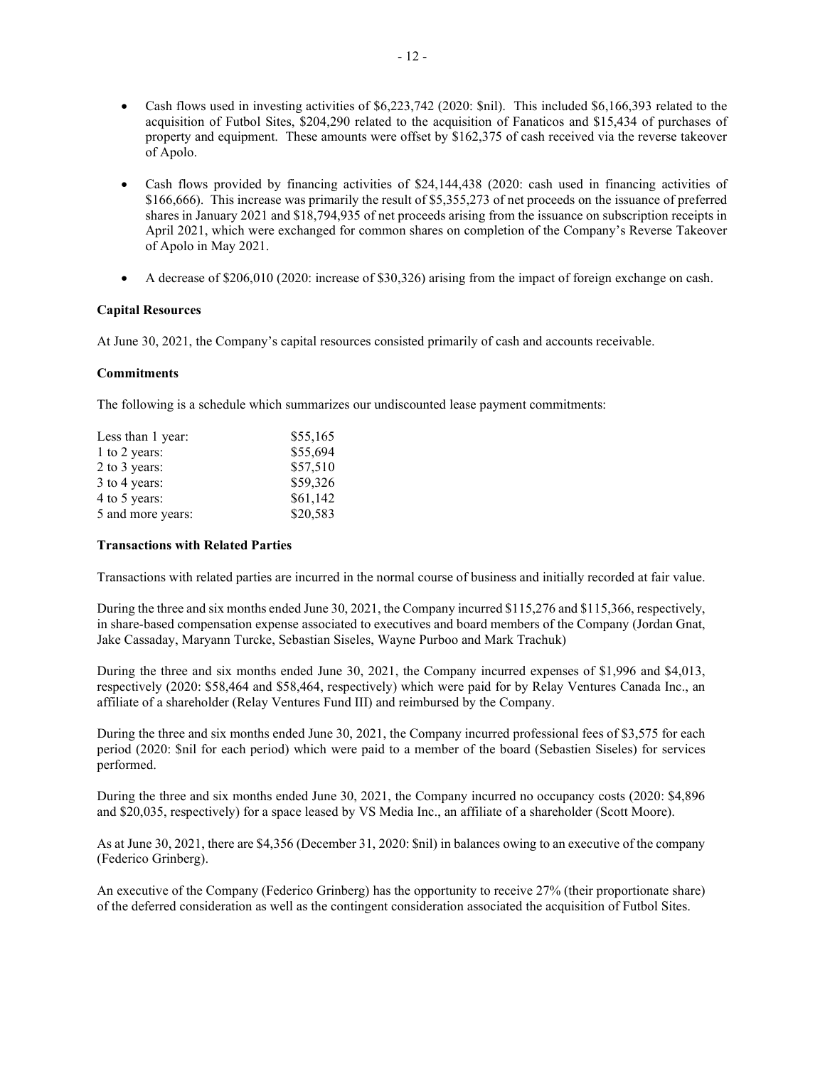- Cash flows used in investing activities of \$6,223,742 (2020: \$nil). This included \$6,166,393 related to the acquisition of Futbol Sites, \$204,290 related to the acquisition of Fanaticos and \$15,434 of purchases of property and equipment. These amounts were offset by \$162,375 of cash received via the reverse takeover of Apolo.
- Cash flows provided by financing activities of \$24,144,438 (2020: cash used in financing activities of \$166,666). This increase was primarily the result of \$5,355,273 of net proceeds on the issuance of preferred shares in January 2021 and \$18,794,935 of net proceeds arising from the issuance on subscription receipts in April 2021, which were exchanged for common shares on completion of the Company's Reverse Takeover of Apolo in May 2021.
- A decrease of \$206,010 (2020: increase of \$30,326) arising from the impact of foreign exchange on cash.

## Capital Resources

At June 30, 2021, the Company's capital resources consisted primarily of cash and accounts receivable.

## **Commitments**

The following is a schedule which summarizes our undiscounted lease payment commitments:

| Less than 1 year: | \$55,165 |
|-------------------|----------|
| 1 to 2 years:     | \$55,694 |
| 2 to 3 years:     | \$57,510 |
| 3 to 4 years:     | \$59,326 |
| 4 to 5 years:     | \$61,142 |
| 5 and more years: | \$20,583 |

#### Transactions with Related Parties

Transactions with related parties are incurred in the normal course of business and initially recorded at fair value.

During the three and six months ended June 30, 2021, the Company incurred \$115,276 and \$115,366, respectively, in share-based compensation expense associated to executives and board members of the Company (Jordan Gnat, Jake Cassaday, Maryann Turcke, Sebastian Siseles, Wayne Purboo and Mark Trachuk)

During the three and six months ended June 30, 2021, the Company incurred expenses of \$1,996 and \$4,013, respectively (2020: \$58,464 and \$58,464, respectively) which were paid for by Relay Ventures Canada Inc., an affiliate of a shareholder (Relay Ventures Fund III) and reimbursed by the Company.

During the three and six months ended June 30, 2021, the Company incurred professional fees of \$3,575 for each period (2020: \$nil for each period) which were paid to a member of the board (Sebastien Siseles) for services performed.

During the three and six months ended June 30, 2021, the Company incurred no occupancy costs (2020: \$4,896 and \$20,035, respectively) for a space leased by VS Media Inc., an affiliate of a shareholder (Scott Moore).

As at June 30, 2021, there are \$4,356 (December 31, 2020: \$nil) in balances owing to an executive of the company (Federico Grinberg).

An executive of the Company (Federico Grinberg) has the opportunity to receive 27% (their proportionate share) of the deferred consideration as well as the contingent consideration associated the acquisition of Futbol Sites.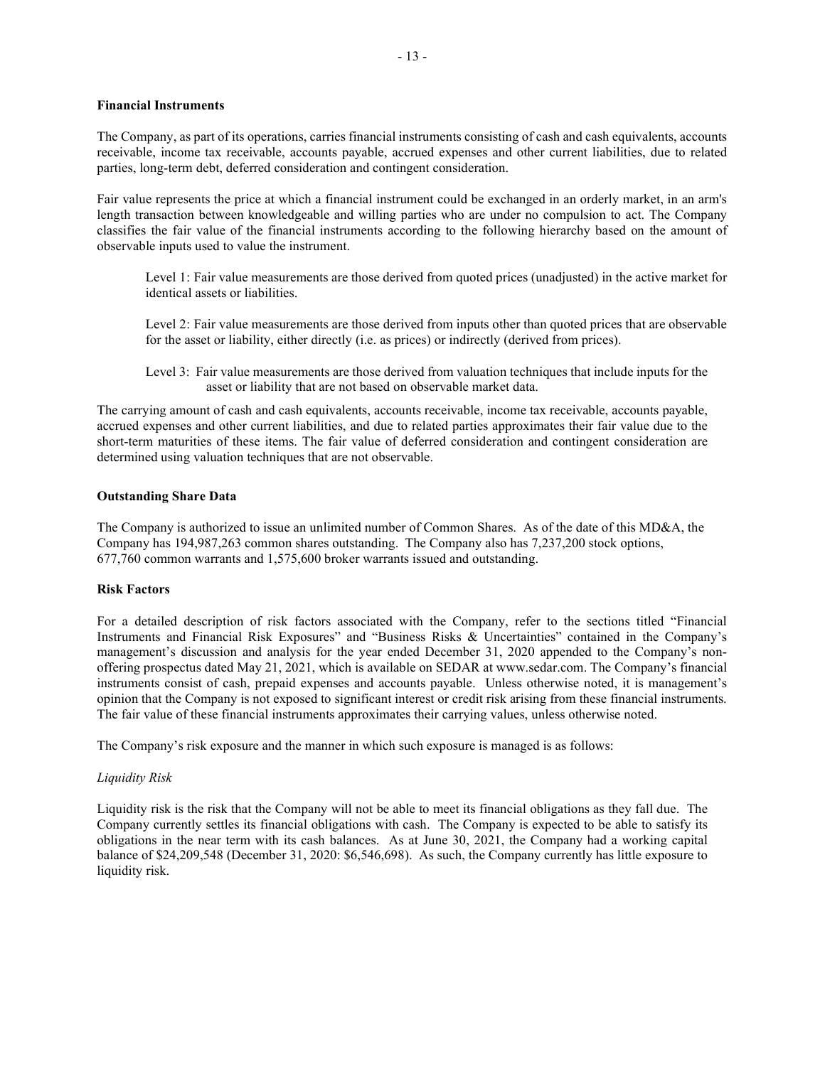## Financial Instruments

The Company, as part of its operations, carries financial instruments consisting of cash and cash equivalents, accounts receivable, income tax receivable, accounts payable, accrued expenses and other current liabilities, due to related parties, long-term debt, deferred consideration and contingent consideration.

Fair value represents the price at which a financial instrument could be exchanged in an orderly market, in an arm's length transaction between knowledgeable and willing parties who are under no compulsion to act. The Company classifies the fair value of the financial instruments according to the following hierarchy based on the amount of observable inputs used to value the instrument.

Level 1: Fair value measurements are those derived from quoted prices (unadjusted) in the active market for identical assets or liabilities.

Level 2: Fair value measurements are those derived from inputs other than quoted prices that are observable for the asset or liability, either directly (i.e. as prices) or indirectly (derived from prices).

Level 3: Fair value measurements are those derived from valuation techniques that include inputs for the asset or liability that are not based on observable market data.

The carrying amount of cash and cash equivalents, accounts receivable, income tax receivable, accounts payable, accrued expenses and other current liabilities, and due to related parties approximates their fair value due to the short-term maturities of these items. The fair value of deferred consideration and contingent consideration are determined using valuation techniques that are not observable.

#### Outstanding Share Data

The Company is authorized to issue an unlimited number of Common Shares. As of the date of this MD&A, the Company has 194,987,263 common shares outstanding. The Company also has 7,237,200 stock options, 677,760 common warrants and 1,575,600 broker warrants issued and outstanding.

#### Risk Factors

For a detailed description of risk factors associated with the Company, refer to the sections titled "Financial Instruments and Financial Risk Exposures" and "Business Risks & Uncertainties" contained in the Company's management's discussion and analysis for the year ended December 31, 2020 appended to the Company's nonoffering prospectus dated May 21, 2021, which is available on SEDAR at www.sedar.com. The Company's financial instruments consist of cash, prepaid expenses and accounts payable. Unless otherwise noted, it is management's opinion that the Company is not exposed to significant interest or credit risk arising from these financial instruments. The fair value of these financial instruments approximates their carrying values, unless otherwise noted.

The Company's risk exposure and the manner in which such exposure is managed is as follows:

#### Liquidity Risk

Liquidity risk is the risk that the Company will not be able to meet its financial obligations as they fall due. The Company currently settles its financial obligations with cash. The Company is expected to be able to satisfy its obligations in the near term with its cash balances. As at June 30, 2021, the Company had a working capital balance of \$24,209,548 (December 31, 2020: \$6,546,698). As such, the Company currently has little exposure to liquidity risk.